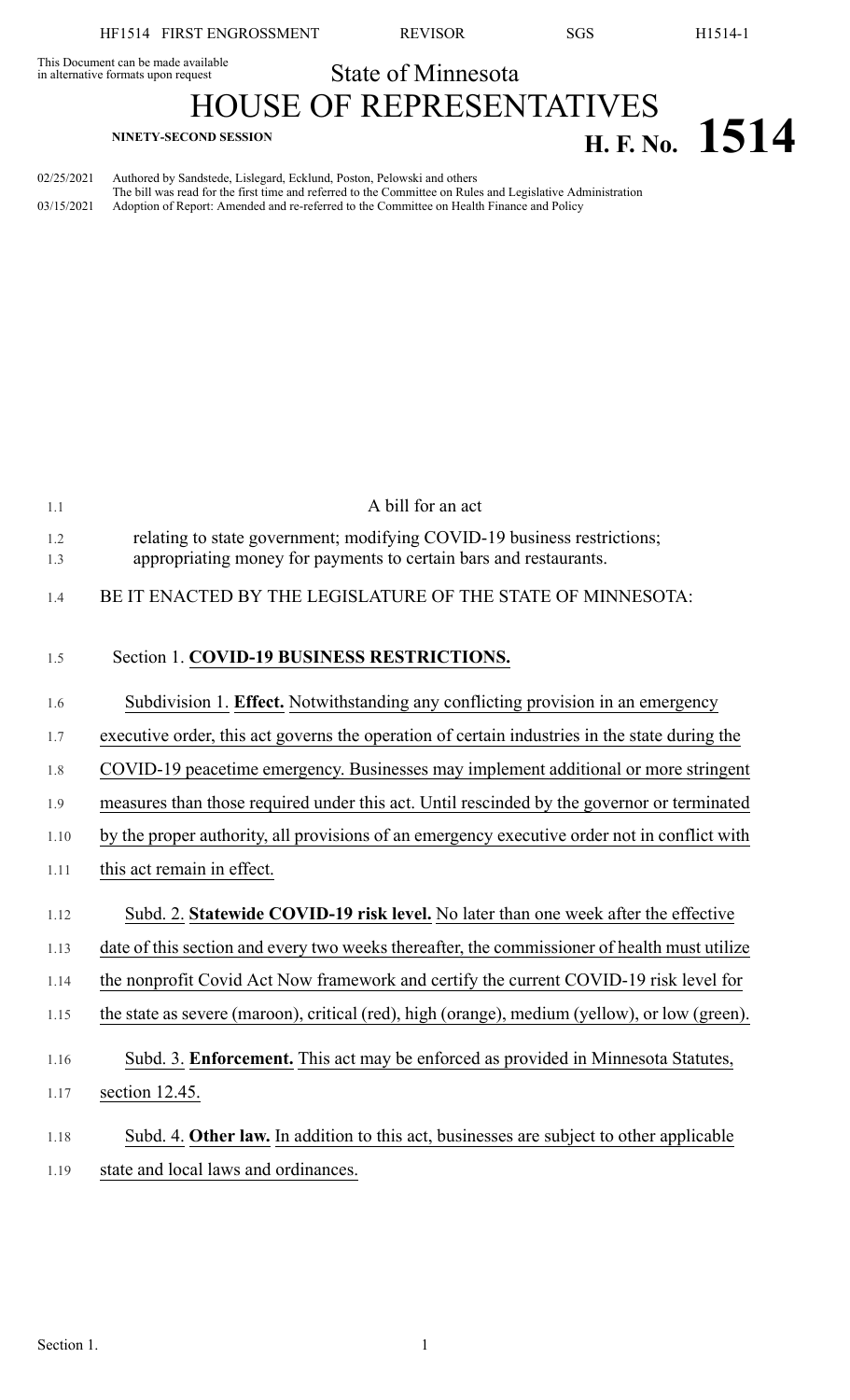This Document can be made available<br>in alternative formats upon request **State of Minnesota** 

# HOUSE OF REPRESENTATIVES **H. F. No. 1514**

02/25/2021 Authored by Sandstede, Lislegard, Ecklund, Poston, Pelowski and others The bill was read for the first time and referred to the Committee on Rules and Legislative Administration 03/15/2021 Adoption of Report: Amended and re-referred to the Committee on Health Finance and Policy

| 1.1        | A bill for an act                                                                                                                            |
|------------|----------------------------------------------------------------------------------------------------------------------------------------------|
| 1.2<br>1.3 | relating to state government; modifying COVID-19 business restrictions;<br>appropriating money for payments to certain bars and restaurants. |
| 1.4        | BE IT ENACTED BY THE LEGISLATURE OF THE STATE OF MINNESOTA:                                                                                  |
| 1.5        | Section 1. COVID-19 BUSINESS RESTRICTIONS.                                                                                                   |
| 1.6        | Subdivision 1. Effect. Notwithstanding any conflicting provision in an emergency                                                             |
| 1.7        | executive order, this act governs the operation of certain industries in the state during the                                                |
| 1.8        | COVID-19 peacetime emergency. Businesses may implement additional or more stringent                                                          |
| 1.9        | measures than those required under this act. Until rescinded by the governor or terminated                                                   |
| 1.10       | by the proper authority, all provisions of an emergency executive order not in conflict with                                                 |
| 1.11       | this act remain in effect.                                                                                                                   |
| 1.12       | Subd. 2. Statewide COVID-19 risk level. No later than one week after the effective                                                           |
| 1.13       | date of this section and every two weeks thereafter, the commissioner of health must utilize                                                 |
| 1.14       | the nonprofit Covid Act Now framework and certify the current COVID-19 risk level for                                                        |
| 1.15       | the state as severe (maroon), critical (red), high (orange), medium (yellow), or low (green).                                                |
| 1.16       | Subd. 3. Enforcement. This act may be enforced as provided in Minnesota Statutes,                                                            |
| 1.17       | section 12.45.                                                                                                                               |
| 1.18       | Subd. 4. Other law. In addition to this act, businesses are subject to other applicable                                                      |
| 1.19       | state and local laws and ordinances.                                                                                                         |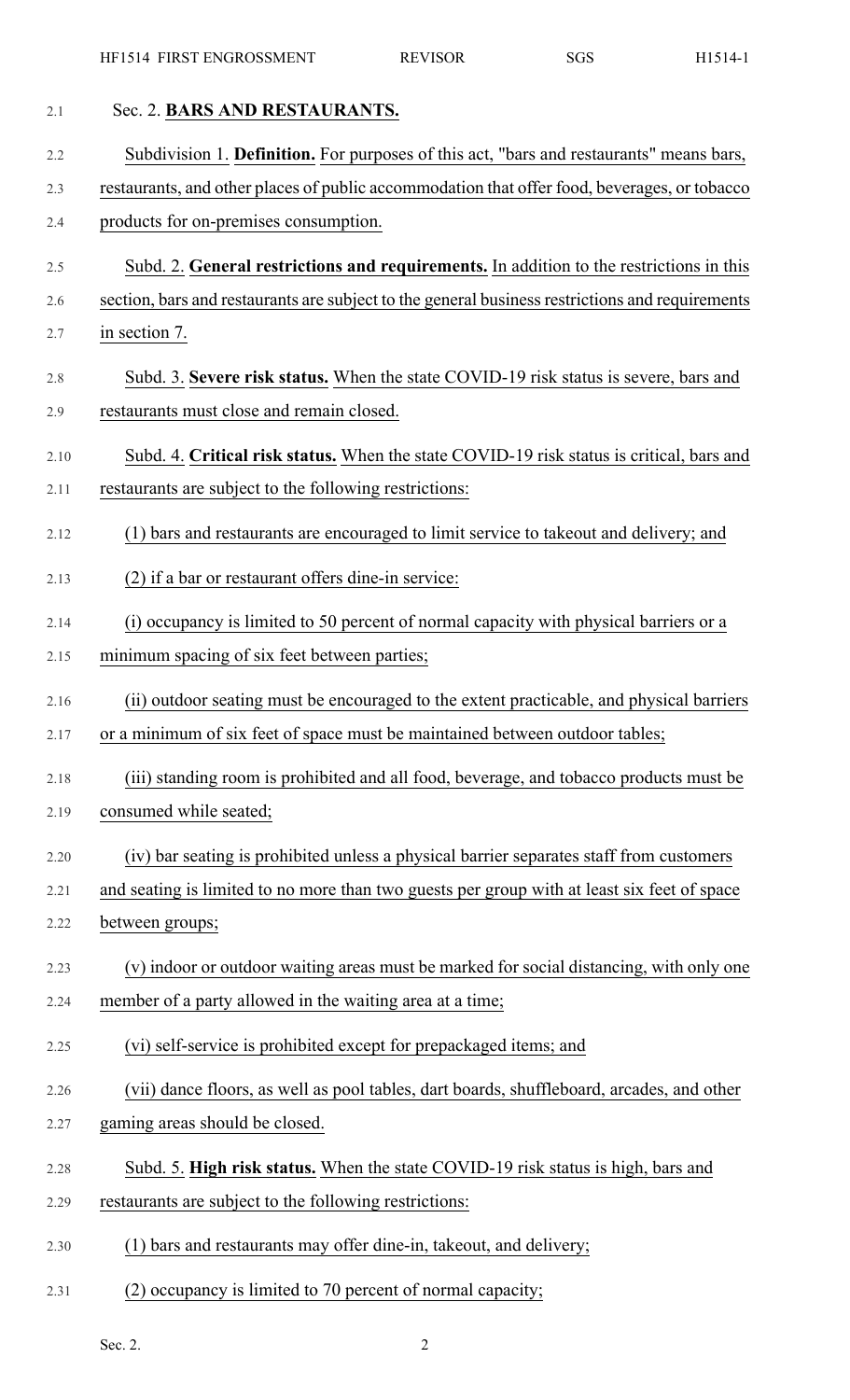| 2.1  | Sec. 2. BARS AND RESTAURANTS.                                                                   |
|------|-------------------------------------------------------------------------------------------------|
| 2.2  | Subdivision 1. Definition. For purposes of this act, "bars and restaurants" means bars,         |
| 2.3  | restaurants, and other places of public accommodation that offer food, beverages, or tobacco    |
| 2.4  | products for on-premises consumption.                                                           |
| 2.5  | Subd. 2. General restrictions and requirements. In addition to the restrictions in this         |
| 2.6  | section, bars and restaurants are subject to the general business restrictions and requirements |
| 2.7  | in section 7.                                                                                   |
| 2.8  | Subd. 3. Severe risk status. When the state COVID-19 risk status is severe, bars and            |
| 2.9  | restaurants must close and remain closed.                                                       |
| 2.10 | Subd. 4. Critical risk status. When the state COVID-19 risk status is critical, bars and        |
| 2.11 | restaurants are subject to the following restrictions:                                          |
| 2.12 | (1) bars and restaurants are encouraged to limit service to takeout and delivery; and           |
| 2.13 | (2) if a bar or restaurant offers dine-in service:                                              |
| 2.14 | (i) occupancy is limited to 50 percent of normal capacity with physical barriers or a           |
| 2.15 | minimum spacing of six feet between parties;                                                    |
| 2.16 | (ii) outdoor seating must be encouraged to the extent practicable, and physical barriers        |
| 2.17 | or a minimum of six feet of space must be maintained between outdoor tables;                    |
| 2.18 | (iii) standing room is prohibited and all food, beverage, and tobacco products must be          |
| 2.19 | consumed while seated;                                                                          |
| 2.20 | (iv) bar seating is prohibited unless a physical barrier separates staff from customers         |
| 2.21 | and seating is limited to no more than two guests per group with at least six feet of space     |
| 2.22 | between groups;                                                                                 |
| 2.23 | (v) indoor or outdoor waiting areas must be marked for social distancing, with only one         |
| 2.24 | member of a party allowed in the waiting area at a time;                                        |
| 2.25 | (vi) self-service is prohibited except for prepackaged items; and                               |
| 2.26 | (vii) dance floors, as well as pool tables, dart boards, shuffleboard, arcades, and other       |
| 2.27 | gaming areas should be closed.                                                                  |
| 2.28 | Subd. 5. High risk status. When the state COVID-19 risk status is high, bars and                |
| 2.29 | restaurants are subject to the following restrictions:                                          |
| 2.30 | (1) bars and restaurants may offer dine-in, takeout, and delivery;                              |
| 2.31 | (2) occupancy is limited to 70 percent of normal capacity;                                      |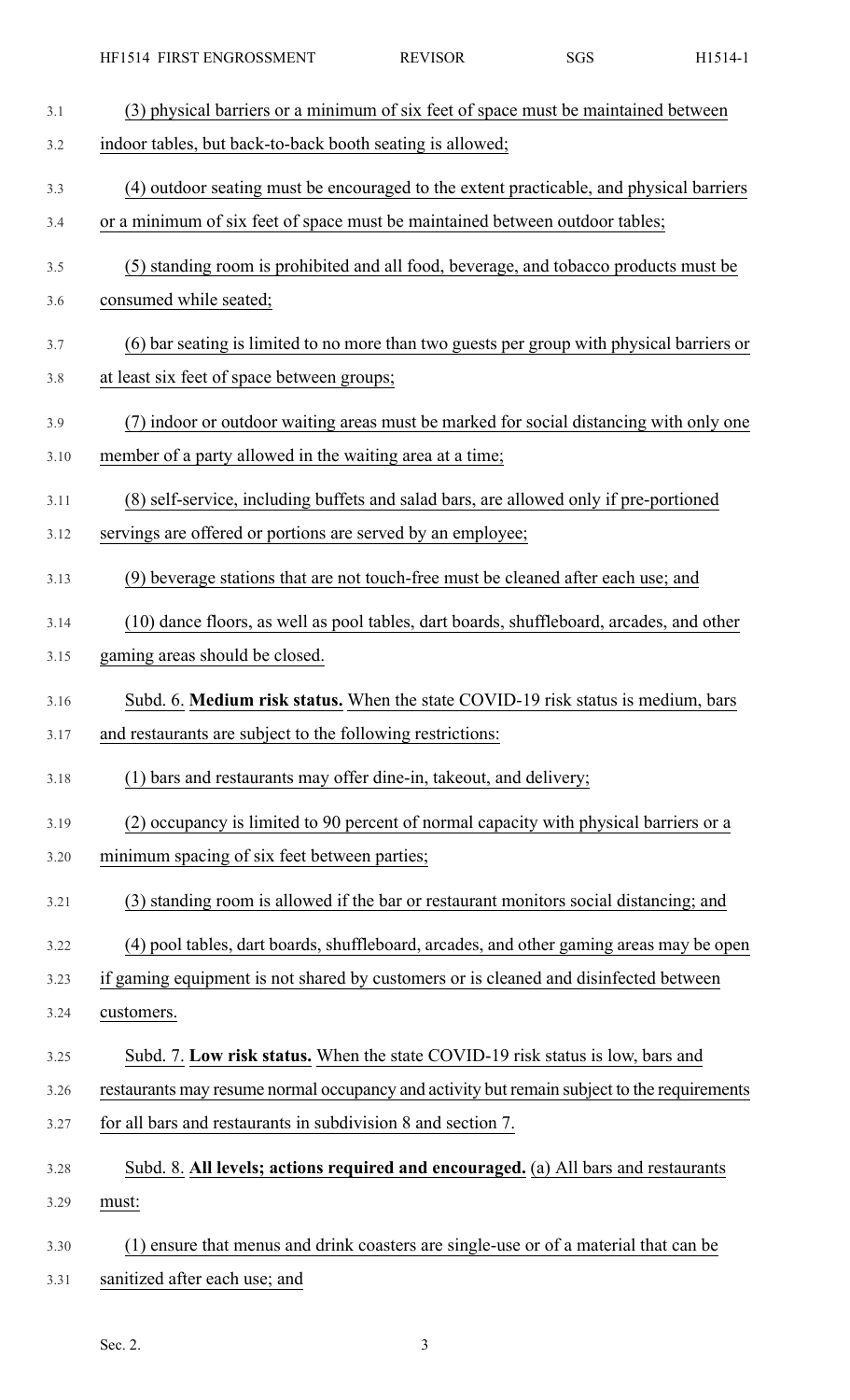| 3.1  | (3) physical barriers or a minimum of six feet of space must be maintained between          |
|------|---------------------------------------------------------------------------------------------|
| 3.2  | indoor tables, but back-to-back booth seating is allowed;                                   |
| 3.3  | (4) outdoor seating must be encouraged to the extent practicable, and physical barriers     |
| 3.4  | or a minimum of six feet of space must be maintained between outdoor tables;                |
| 3.5  | (5) standing room is prohibited and all food, beverage, and tobacco products must be        |
| 3.6  | consumed while seated;                                                                      |
| 3.7  | (6) bar seating is limited to no more than two guests per group with physical barriers or   |
| 3.8  | at least six feet of space between groups;                                                  |
| 3.9  | (7) indoor or outdoor waiting areas must be marked for social distancing with only one      |
| 3.10 | member of a party allowed in the waiting area at a time;                                    |
| 3.11 | (8) self-service, including buffets and salad bars, are allowed only if pre-portioned       |
| 3.12 | servings are offered or portions are served by an employee;                                 |
| 3.13 | (9) beverage stations that are not touch-free must be cleaned after each use; and           |
| 3.14 | (10) dance floors, as well as pool tables, dart boards, shuffleboard, arcades, and other    |
| 3.15 | gaming areas should be closed.                                                              |
| 3.16 | Subd. 6. Medium risk status. When the state COVID-19 risk status is medium, bars            |
| 3.17 | and restaurants are subject to the following restrictions:                                  |
| 3.18 | (1) bars and restaurants may offer dine-in, takeout, and delivery;                          |
| 3.19 | (2) occupancy is limited to 90 percent of normal capacity with physical barriers or a       |
| 3.20 | minimum spacing of six feet between parties;                                                |
| 3.21 | (3) standing room is allowed if the bar or restaurant monitors social distancing; and       |
| 3.22 | (4) pool tables, dart boards, shuffleboard, arcades, and other gaming areas may be open     |
| 3.23 | if gaming equipment is not shared by customers or is cleaned and disinfected between        |
| 3.24 | customers.                                                                                  |
| 3.25 | Subd. 7. Low risk status. When the state COVID-19 risk status is low, bars and              |
| 3.26 | restaurants may resume normal occupancy and activity but remain subject to the requirements |
| 3.27 | for all bars and restaurants in subdivision 8 and section 7.                                |
| 3.28 | Subd. 8. All levels; actions required and encouraged. (a) All bars and restaurants          |
| 3.29 | must:                                                                                       |
| 3.30 | ensure that menus and drink coasters are single-use or of a material that can be            |
| 3.31 | sanitized after each use; and                                                               |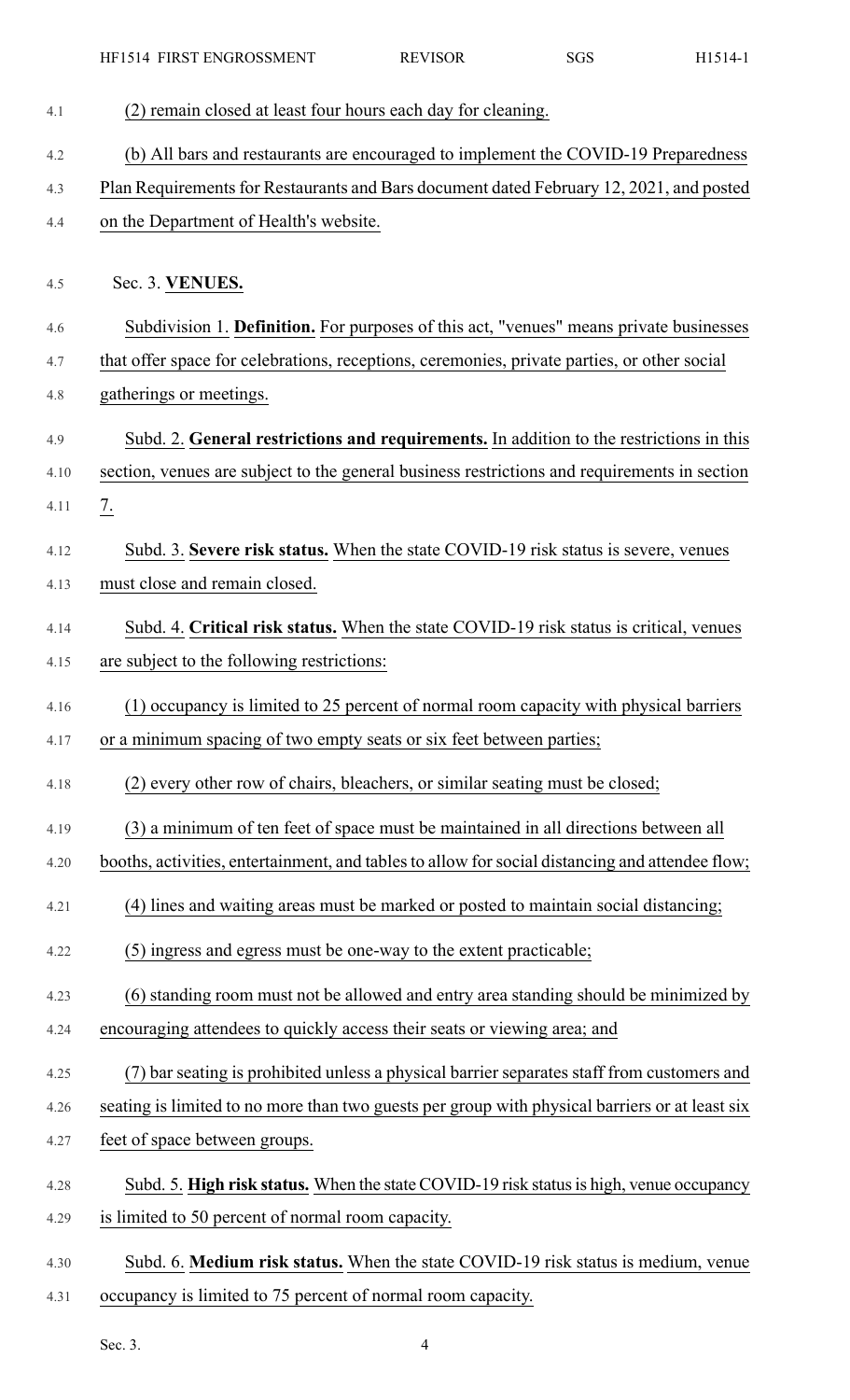| 4.1  | (2) remain closed at least four hours each day for cleaning.                                    |
|------|-------------------------------------------------------------------------------------------------|
| 4.2  | (b) All bars and restaurants are encouraged to implement the COVID-19 Preparedness              |
| 4.3  | Plan Requirements for Restaurants and Bars document dated February 12, 2021, and posted         |
| 4.4  | on the Department of Health's website.                                                          |
|      |                                                                                                 |
| 4.5  | Sec. 3. VENUES.                                                                                 |
| 4.6  | Subdivision 1. Definition. For purposes of this act, "venues" means private businesses          |
| 4.7  | that offer space for celebrations, receptions, ceremonies, private parties, or other social     |
| 4.8  | gatherings or meetings.                                                                         |
| 4.9  | Subd. 2. General restrictions and requirements. In addition to the restrictions in this         |
| 4.10 | section, venues are subject to the general business restrictions and requirements in section    |
| 4.11 | $\frac{7}{2}$                                                                                   |
| 4.12 | Subd. 3. Severe risk status. When the state COVID-19 risk status is severe, venues              |
| 4.13 | must close and remain closed.                                                                   |
| 4.14 | Subd. 4. Critical risk status. When the state COVID-19 risk status is critical, venues          |
| 4.15 | are subject to the following restrictions:                                                      |
| 4.16 | (1) occupancy is limited to 25 percent of normal room capacity with physical barriers           |
| 4.17 | or a minimum spacing of two empty seats or six feet between parties;                            |
| 4.18 | (2) every other row of chairs, bleachers, or similar seating must be closed;                    |
| 4.19 | (3) a minimum of ten feet of space must be maintained in all directions between all             |
| 4.20 | booths, activities, entertainment, and tables to allow for social distancing and attendee flow; |
| 4.21 | (4) lines and waiting areas must be marked or posted to maintain social distancing;             |
| 4.22 | (5) ingress and egress must be one-way to the extent practicable;                               |
| 4.23 | (6) standing room must not be allowed and entry area standing should be minimized by            |
| 4.24 | encouraging attendees to quickly access their seats or viewing area; and                        |
| 4.25 | (7) bar seating is prohibited unless a physical barrier separates staff from customers and      |
| 4.26 | seating is limited to no more than two guests per group with physical barriers or at least six  |
| 4.27 | feet of space between groups.                                                                   |
| 4.28 | Subd. 5. High risk status. When the state COVID-19 risk status is high, venue occupancy         |
| 4.29 | is limited to 50 percent of normal room capacity.                                               |
| 4.30 | Subd. 6. Medium risk status. When the state COVID-19 risk status is medium, venue               |
| 4.31 | occupancy is limited to 75 percent of normal room capacity.                                     |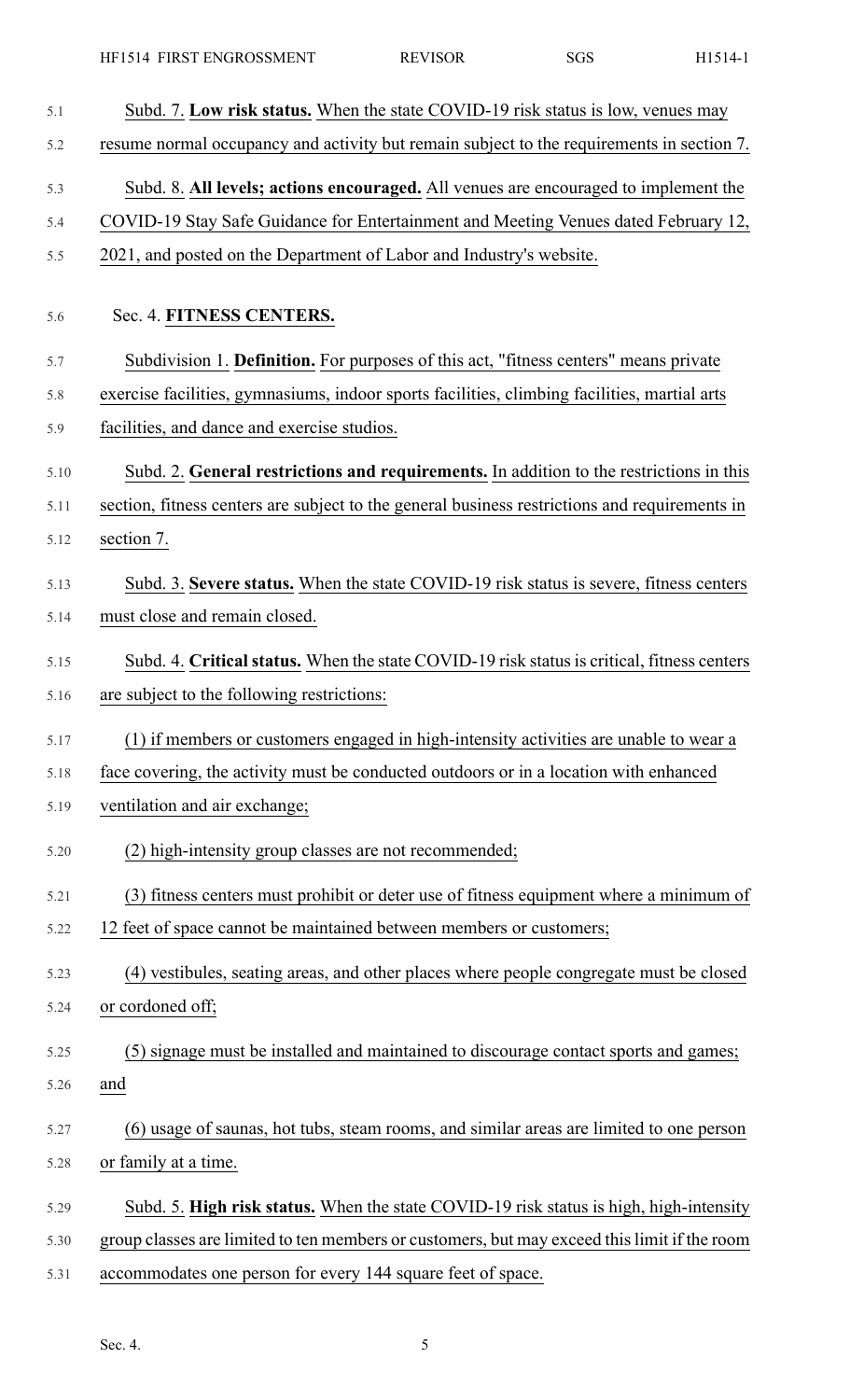| 5.1  | Subd. 7. Low risk status. When the state COVID-19 risk status is low, venues may              |
|------|-----------------------------------------------------------------------------------------------|
| 5.2  | resume normal occupancy and activity but remain subject to the requirements in section 7.     |
| 5.3  | Subd. 8. All levels; actions encouraged. All venues are encouraged to implement the           |
| 5.4  | COVID-19 Stay Safe Guidance for Entertainment and Meeting Venues dated February 12,           |
| 5.5  | 2021, and posted on the Department of Labor and Industry's website.                           |
| 5.6  | Sec. 4. FITNESS CENTERS.                                                                      |
| 5.7  | Subdivision 1. Definition. For purposes of this act, "fitness centers" means private          |
| 5.8  | exercise facilities, gymnasiums, indoor sports facilities, climbing facilities, martial arts  |
| 5.9  | facilities, and dance and exercise studios.                                                   |
| 5.10 | Subd. 2. General restrictions and requirements. In addition to the restrictions in this       |
| 5.11 | section, fitness centers are subject to the general business restrictions and requirements in |
| 5.12 | section 7.                                                                                    |
| 5.13 | Subd. 3. Severe status. When the state COVID-19 risk status is severe, fitness centers        |
| 5.14 | must close and remain closed.                                                                 |
| 5.15 | Subd. 4. Critical status. When the state COVID-19 risk status is critical, fitness centers    |
| 5.16 | are subject to the following restrictions:                                                    |
| 5.17 | (1) if members or customers engaged in high-intensity activities are unable to wear a         |
| 5.18 | face covering, the activity must be conducted outdoors or in a location with enhanced         |
| 5.19 | ventilation and air exchange;                                                                 |
| 5.20 | (2) high-intensity group classes are not recommended;                                         |
| 5.21 | (3) fitness centers must prohibit or deter use of fitness equipment where a minimum of        |
| 5.22 | 12 feet of space cannot be maintained between members or customers;                           |
| 5.23 | (4) vestibules, seating areas, and other places where people congregate must be closed        |
| 5.24 | or cordoned off;                                                                              |
| 5.25 | (5) signage must be installed and maintained to discourage contact sports and games;          |
| 5.26 | and                                                                                           |
| 5.27 | (6) usage of saunas, hot tubs, steam rooms, and similar areas are limited to one person       |
| 5.28 | or family at a time.                                                                          |
| 5.29 | Subd. 5. High risk status. When the state COVID-19 risk status is high, high-intensity        |
| 5.30 | group classes are limited to ten members or customers, but may exceed this limit if the room  |
| 5.31 | accommodates one person for every 144 square feet of space.                                   |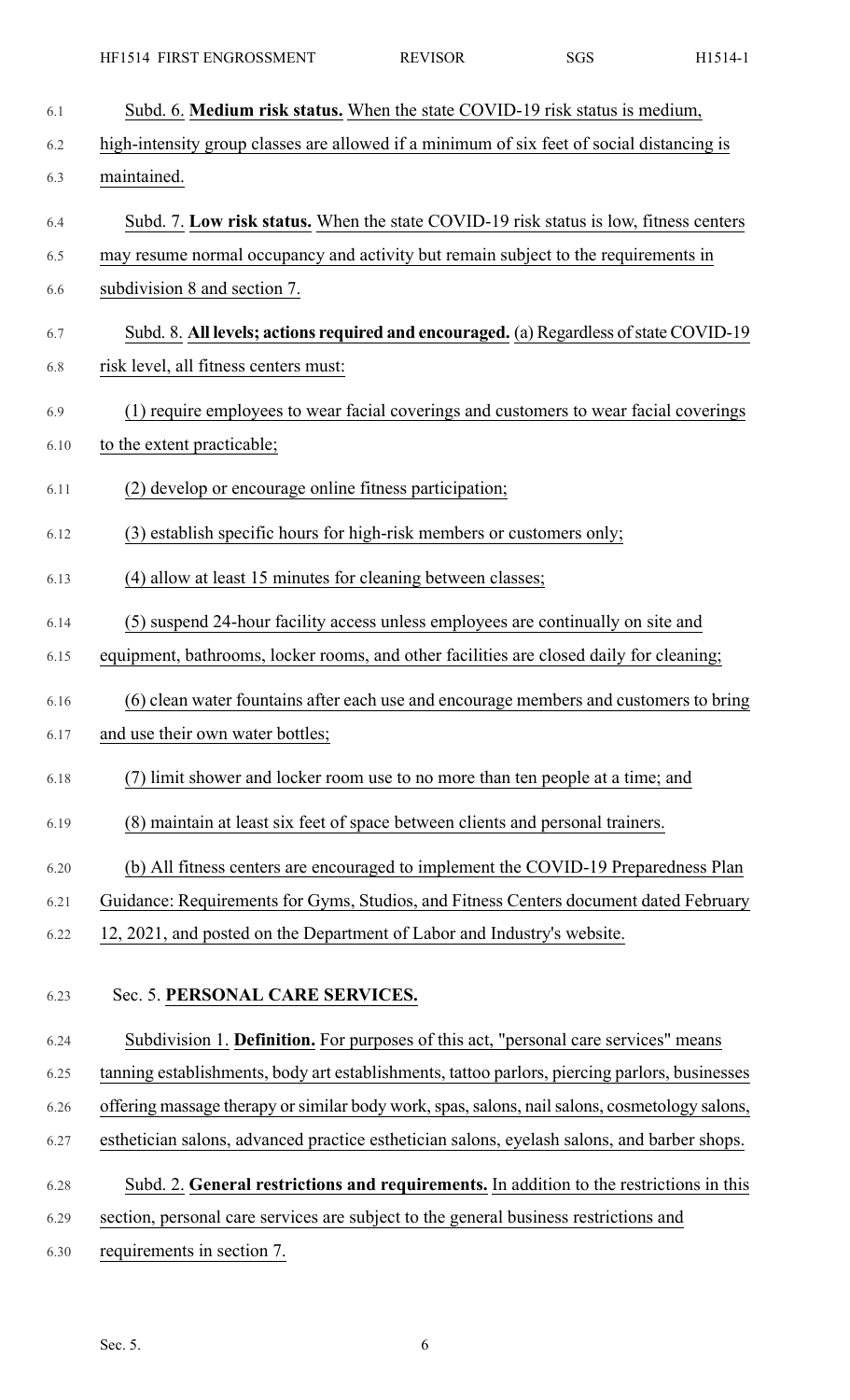| 6.1  | Subd. 6. Medium risk status. When the state COVID-19 risk status is medium,                   |
|------|-----------------------------------------------------------------------------------------------|
| 6.2  | high-intensity group classes are allowed if a minimum of six feet of social distancing is     |
| 6.3  | maintained.                                                                                   |
| 6.4  | Subd. 7. Low risk status. When the state COVID-19 risk status is low, fitness centers         |
| 6.5  | may resume normal occupancy and activity but remain subject to the requirements in            |
| 6.6  | subdivision 8 and section 7.                                                                  |
| 6.7  | Subd. 8. All levels; actions required and encouraged. (a) Regardless of state COVID-19        |
| 6.8  | risk level, all fitness centers must:                                                         |
| 6.9  | (1) require employees to wear facial coverings and customers to wear facial coverings         |
| 6.10 | to the extent practicable;                                                                    |
| 6.11 | (2) develop or encourage online fitness participation;                                        |
| 6.12 | (3) establish specific hours for high-risk members or customers only;                         |
| 6.13 | (4) allow at least 15 minutes for cleaning between classes;                                   |
| 6.14 | (5) suspend 24-hour facility access unless employees are continually on site and              |
| 6.15 | equipment, bathrooms, locker rooms, and other facilities are closed daily for cleaning;       |
| 6.16 | (6) clean water fountains after each use and encourage members and customers to bring         |
| 6.17 | and use their own water bottles;                                                              |
| 6.18 | (7) limit shower and locker room use to no more than ten people at a time; and                |
| 6.19 | (8) maintain at least six feet of space between clients and personal trainers.                |
| 6.20 | (b) All fitness centers are encouraged to implement the COVID-19 Preparedness Plan            |
| 6.21 | Guidance: Requirements for Gyms, Studios, and Fitness Centers document dated February         |
| 6.22 | 12, 2021, and posted on the Department of Labor and Industry's website.                       |
| 6.23 | Sec. 5. PERSONAL CARE SERVICES.                                                               |
| 6.24 | Subdivision 1. Definition. For purposes of this act, "personal care services" means           |
| 6.25 | tanning establishments, body art establishments, tattoo parlors, piercing parlors, businesses |
| 6.26 | offering massage therapy or similar body work, spas, salons, nail salons, cosmetology salons, |
| 6.27 | esthetician salons, advanced practice esthetician salons, eyelash salons, and barber shops.   |
| 6.28 | Subd. 2. General restrictions and requirements. In addition to the restrictions in this       |
| 6.29 | section, personal care services are subject to the general business restrictions and          |
| 6.30 | requirements in section 7.                                                                    |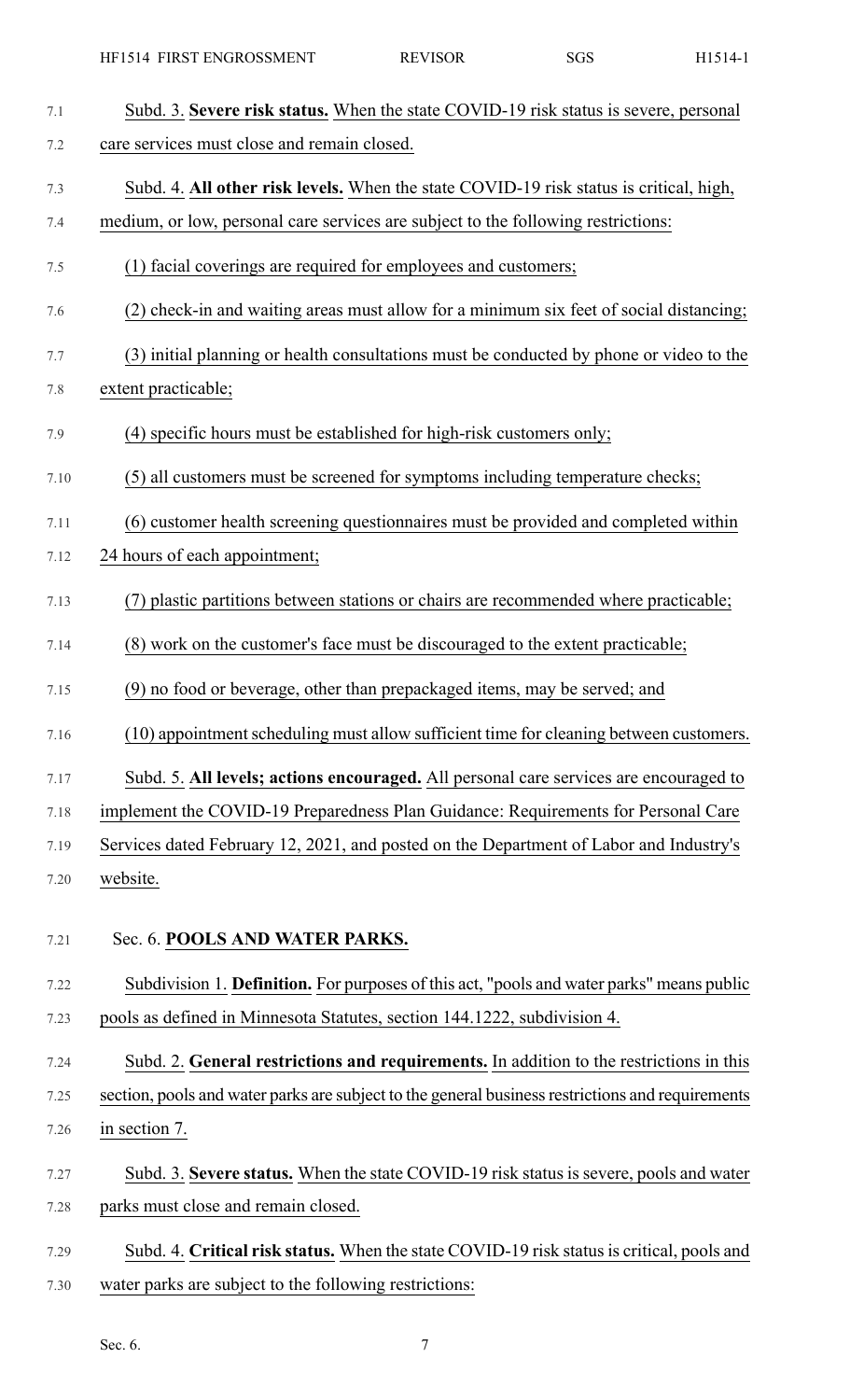| 7.1  | Subd. 3. Severe risk status. When the state COVID-19 risk status is severe, personal             |
|------|--------------------------------------------------------------------------------------------------|
| 7.2  | care services must close and remain closed.                                                      |
| 7.3  | Subd. 4. All other risk levels. When the state COVID-19 risk status is critical, high,           |
| 7.4  | medium, or low, personal care services are subject to the following restrictions:                |
| 7.5  | (1) facial coverings are required for employees and customers;                                   |
| 7.6  | (2) check-in and waiting areas must allow for a minimum six feet of social distancing;           |
| 7.7  | (3) initial planning or health consultations must be conducted by phone or video to the          |
| 7.8  | extent practicable;                                                                              |
| 7.9  | (4) specific hours must be established for high-risk customers only;                             |
| 7.10 | (5) all customers must be screened for symptoms including temperature checks;                    |
| 7.11 | (6) customer health screening questionnaires must be provided and completed within               |
| 7.12 | 24 hours of each appointment;                                                                    |
| 7.13 | (7) plastic partitions between stations or chairs are recommended where practicable;             |
| 7.14 | (8) work on the customer's face must be discouraged to the extent practicable;                   |
| 7.15 | (9) no food or beverage, other than prepackaged items, may be served; and                        |
| 7.16 | (10) appointment scheduling must allow sufficient time for cleaning between customers.           |
| 7.17 | Subd. 5. All levels; actions encouraged. All personal care services are encouraged to            |
| 7.18 | implement the COVID-19 Preparedness Plan Guidance: Requirements for Personal Care                |
| 7.19 | Services dated February 12, 2021, and posted on the Department of Labor and Industry's           |
| 7.20 | website.                                                                                         |
| 7.21 | Sec. 6. POOLS AND WATER PARKS.                                                                   |
| 7.22 | Subdivision 1. Definition. For purposes of this act, "pools and water parks" means public        |
| 7.23 | pools as defined in Minnesota Statutes, section 144.1222, subdivision 4.                         |
| 7.24 | Subd. 2. General restrictions and requirements. In addition to the restrictions in this          |
| 7.25 | section, pools and water parks are subject to the general business restrictions and requirements |
| 7.26 | in section 7.                                                                                    |
| 7.27 | Subd. 3. Severe status. When the state COVID-19 risk status is severe, pools and water           |
| 7.28 | parks must close and remain closed.                                                              |
| 7.29 | Subd. 4. Critical risk status. When the state COVID-19 risk status is critical, pools and        |

7.30 water parks are subject to the following restrictions: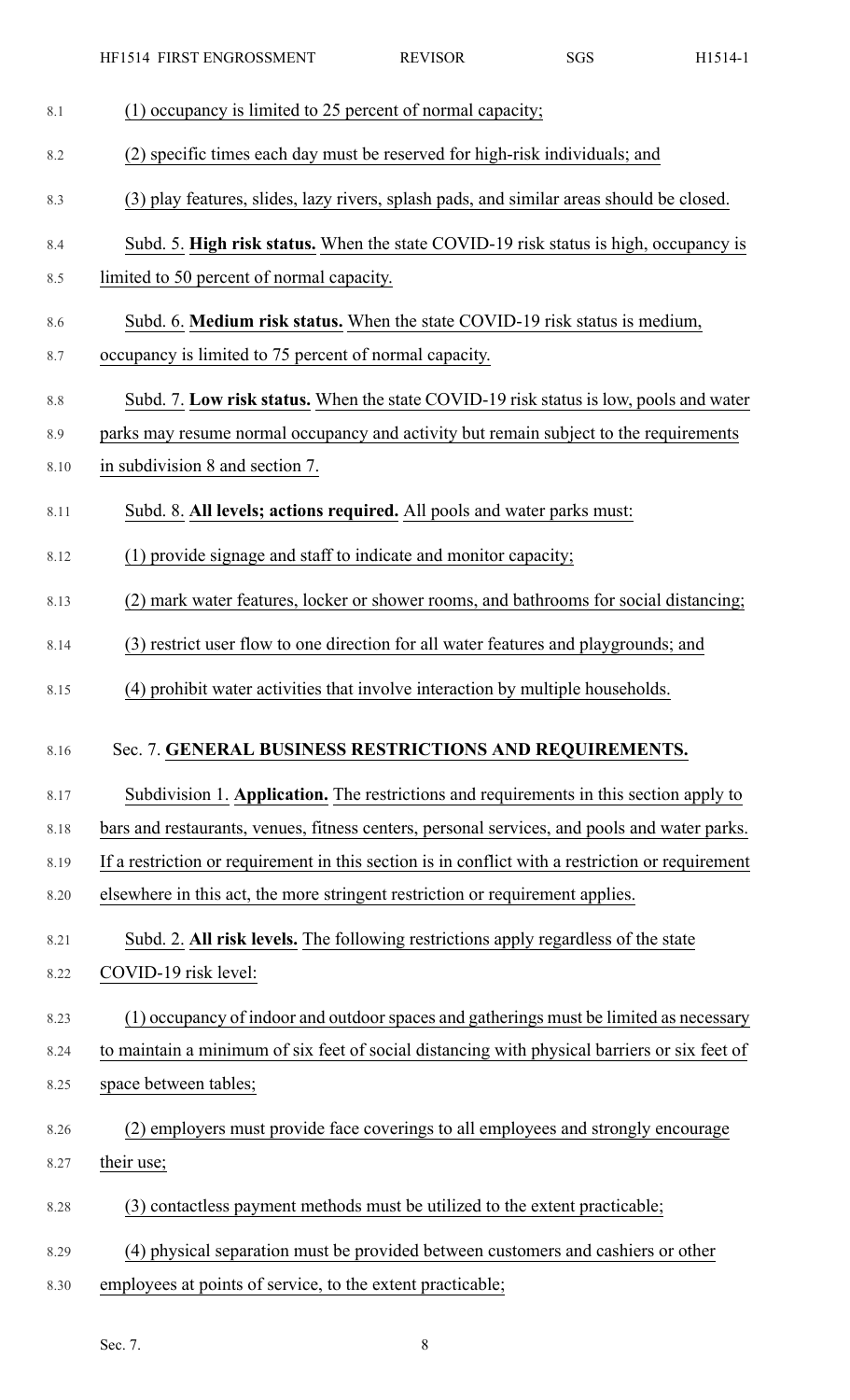| 8.1  | (1) occupancy is limited to 25 percent of normal capacity;                                       |
|------|--------------------------------------------------------------------------------------------------|
| 8.2  | (2) specific times each day must be reserved for high-risk individuals; and                      |
| 8.3  | (3) play features, slides, lazy rivers, splash pads, and similar areas should be closed.         |
| 8.4  | Subd. 5. High risk status. When the state COVID-19 risk status is high, occupancy is             |
| 8.5  | limited to 50 percent of normal capacity.                                                        |
| 8.6  | Subd. 6. Medium risk status. When the state COVID-19 risk status is medium,                      |
| 8.7  | occupancy is limited to 75 percent of normal capacity.                                           |
| 8.8  | Subd. 7. Low risk status. When the state COVID-19 risk status is low, pools and water            |
| 8.9  | parks may resume normal occupancy and activity but remain subject to the requirements            |
| 8.10 | in subdivision 8 and section 7.                                                                  |
| 8.11 | Subd. 8. All levels; actions required. All pools and water parks must:                           |
| 8.12 | (1) provide signage and staff to indicate and monitor capacity;                                  |
| 8.13 | (2) mark water features, locker or shower rooms, and bathrooms for social distancing;            |
| 8.14 | (3) restrict user flow to one direction for all water features and playgrounds; and              |
| 8.15 | (4) prohibit water activities that involve interaction by multiple households.                   |
| 8.16 | Sec. 7. GENERAL BUSINESS RESTRICTIONS AND REQUIREMENTS.                                          |
| 8.17 | Subdivision 1. Application. The restrictions and requirements in this section apply to           |
| 8.18 | bars and restaurants, venues, fitness centers, personal services, and pools and water parks.     |
| 8.19 | If a restriction or requirement in this section is in conflict with a restriction or requirement |
| 8.20 | elsewhere in this act, the more stringent restriction or requirement applies.                    |
| 8.21 | Subd. 2. All risk levels. The following restrictions apply regardless of the state               |
| 8.22 | COVID-19 risk level:                                                                             |
| 8.23 | (1) occupancy of indoor and outdoor spaces and gatherings must be limited as necessary           |
| 8.24 | to maintain a minimum of six feet of social distancing with physical barriers or six feet of     |
| 8.25 | space between tables;                                                                            |
| 8.26 | (2) employers must provide face coverings to all employees and strongly encourage                |
| 8.27 | their use;                                                                                       |
| 8.28 | (3) contactless payment methods must be utilized to the extent practicable;                      |
| 8.29 | (4) physical separation must be provided between customers and cashiers or other                 |
| 8.30 | employees at points of service, to the extent practicable;                                       |

Sec. 7. 8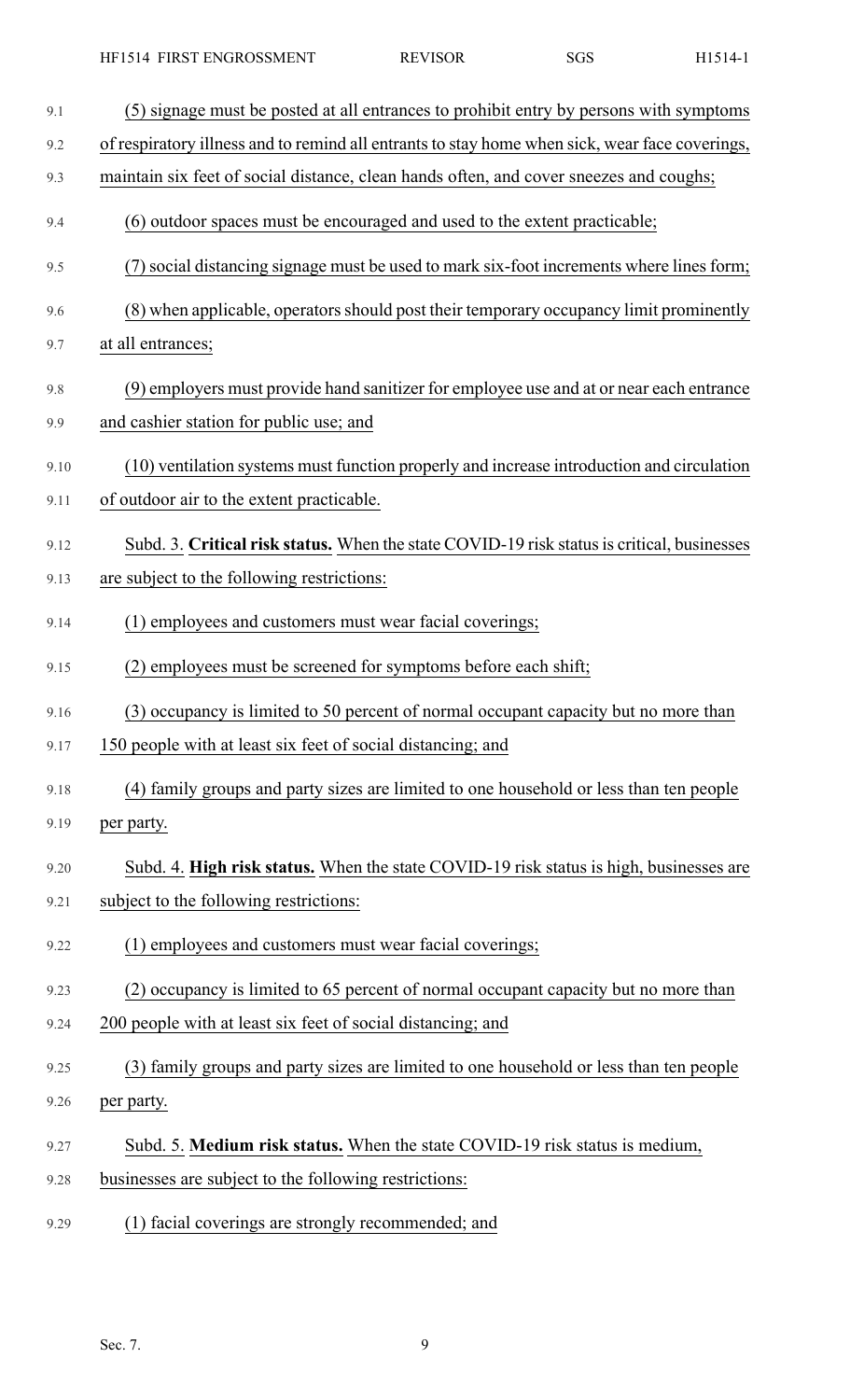| 9.1  | (5) signage must be posted at all entrances to prohibit entry by persons with symptoms         |
|------|------------------------------------------------------------------------------------------------|
| 9.2  | of respiratory illness and to remind all entrants to stay home when sick, wear face coverings, |
| 9.3  | maintain six feet of social distance, clean hands often, and cover sneezes and coughs;         |
| 9.4  | (6) outdoor spaces must be encouraged and used to the extent practicable;                      |
| 9.5  | (7) social distancing signage must be used to mark six-foot increments where lines form;       |
| 9.6  | (8) when applicable, operators should post their temporary occupancy limit prominently         |
| 9.7  | at all entrances;                                                                              |
| 9.8  | (9) employers must provide hand sanitizer for employee use and at or near each entrance        |
| 9.9  | and cashier station for public use; and                                                        |
| 9.10 | (10) ventilation systems must function properly and increase introduction and circulation      |
| 9.11 | of outdoor air to the extent practicable.                                                      |
| 9.12 | Subd. 3. Critical risk status. When the state COVID-19 risk status is critical, businesses     |
| 9.13 | are subject to the following restrictions:                                                     |
| 9.14 | (1) employees and customers must wear facial coverings;                                        |
| 9.15 | (2) employees must be screened for symptoms before each shift;                                 |
| 9.16 | (3) occupancy is limited to 50 percent of normal occupant capacity but no more than            |
| 9.17 | 150 people with at least six feet of social distancing; and                                    |
| 9.18 | (4) family groups and party sizes are limited to one household or less than ten people         |
| 9.19 | per party.                                                                                     |
| 9.20 | Subd. 4. High risk status. When the state COVID-19 risk status is high, businesses are         |
| 9.21 | subject to the following restrictions:                                                         |
| 9.22 | (1) employees and customers must wear facial coverings;                                        |
| 9.23 | (2) occupancy is limited to 65 percent of normal occupant capacity but no more than            |
| 9.24 | 200 people with at least six feet of social distancing; and                                    |
| 9.25 | (3) family groups and party sizes are limited to one household or less than ten people         |
| 9.26 | per party.                                                                                     |
| 9.27 | Subd. 5. Medium risk status. When the state COVID-19 risk status is medium,                    |
| 9.28 | businesses are subject to the following restrictions:                                          |

9.29 (1) facial coverings are strongly recommended; and